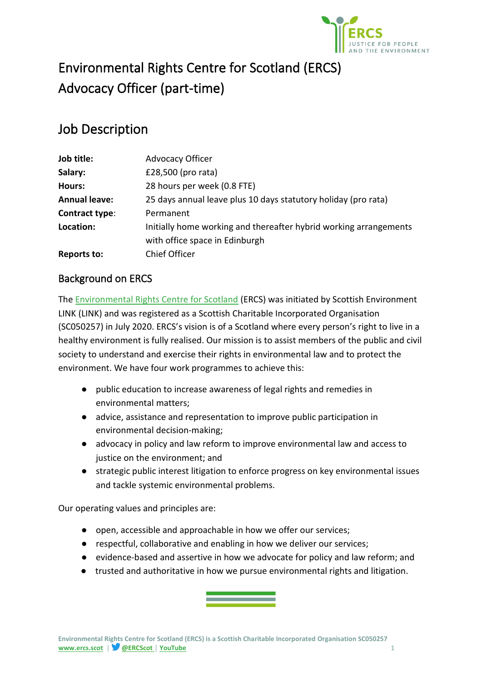

# Environmental Rights Centre for Scotland (ERCS) Advocacy Officer (part-time)

# Job Description

| Job title:           | <b>Advocacy Officer</b>                                           |
|----------------------|-------------------------------------------------------------------|
| Salary:              | £28,500 (pro rata)                                                |
| Hours:               | 28 hours per week (0.8 FTE)                                       |
| <b>Annual leave:</b> | 25 days annual leave plus 10 days statutory holiday (pro rata)    |
| Contract type:       | Permanent                                                         |
| Location:            | Initially home working and thereafter hybrid working arrangements |
|                      | with office space in Edinburgh                                    |
| Reports to:          | <b>Chief Officer</b>                                              |

# Background on ERCS

[The](http://www.ercs.scot/) [Environmental Rights Centre for Scotland](http://www.ercs.scot/) (ERCS) was initiated by Scottish Environment LINK (LINK) and was registered as a Scottish Charitable Incorporated Organisation (SC050257) in July 2020. ERCS's vision is of a Scotland where every person's right to live in a healthy environment is fully realised. Our mission is to assist members of the public and civil society to understand and exercise their rights in environmental law and to protect the environment. We have four work programmes to achieve this:

- public education to increase awareness of legal rights and remedies in environmental matters;
- advice, assistance and representation to improve public participation in environmental decision-making;
- advocacy in policy and law reform to improve environmental law and access to justice on the environment; and
- strategic public interest litigation to enforce progress on key environmental issues and tackle systemic environmental problems.

Our operating values and principles are:

- open, accessible and approachable in how we offer our services;
- respectful, collaborative and enabling in how we deliver our services;
- evidence-based and assertive in how we advocate for policy and law reform; and
- trusted and authoritative in how we pursue environmental rights and litigation.

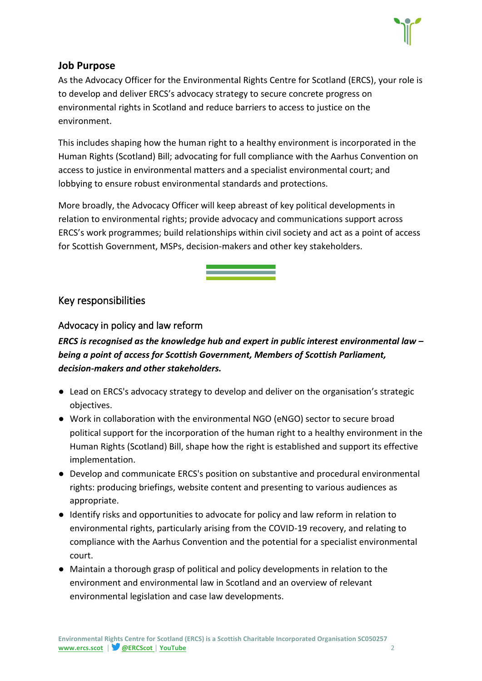

#### **Job Purpose**

As the Advocacy Officer for the Environmental Rights Centre for Scotland (ERCS), your role is to develop and deliver ERCS's advocacy strategy to secure concrete progress on environmental rights in Scotland and reduce barriers to access to justice on the environment.

This includes shaping how the human right to a healthy environment is incorporated in the Human Rights (Scotland) Bill; advocating for full compliance with the Aarhus Convention on access to justice in environmental matters and a specialist environmental court; and lobbying to ensure robust environmental standards and protections.

More broadly, the Advocacy Officer will keep abreast of key political developments in relation to environmental rights; provide advocacy and communications support across ERCS's work programmes; build relationships within civil society and act as a point of access for Scottish Government, MSPs, decision-makers and other key stakeholders.

## Key responsibilities

#### Advocacy in policy and law reform

*ERCS is recognised as the knowledge hub and expert in public interest environmental law – being a point of access for Scottish Government, Members of Scottish Parliament, decision-makers and other stakeholders.*

- Lead on ERCS's advocacy strategy to develop and deliver on the organisation's strategic objectives.
- Work in collaboration with the environmental NGO (eNGO) sector to secure broad political support for the incorporation of the human right to a healthy environment in the Human Rights (Scotland) Bill, shape how the right is established and support its effective implementation.
- Develop and communicate ERCS's position on substantive and procedural environmental rights: producing briefings, website content and presenting to various audiences as appropriate.
- Identify risks and opportunities to advocate for policy and law reform in relation to environmental rights, particularly arising from the COVID-19 recovery, and relating to compliance with the Aarhus Convention and the potential for a specialist environmental court.
- Maintain a thorough grasp of political and policy developments in relation to the environment and environmental law in Scotland and an overview of relevant environmental legislation and case law developments.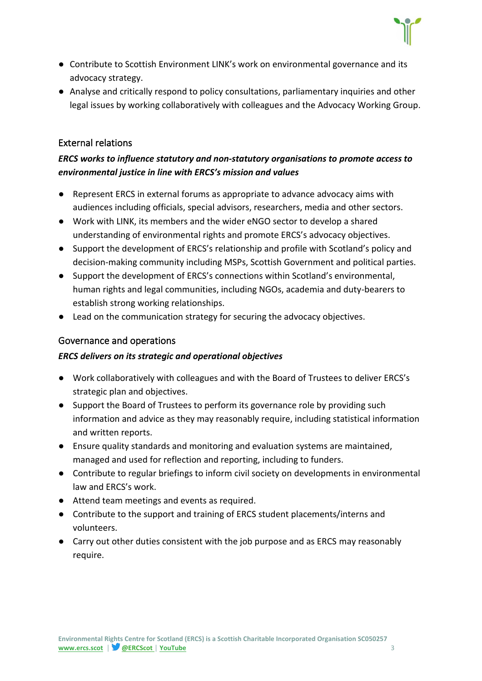

- Contribute to Scottish Environment LINK's work on environmental governance and its advocacy strategy.
- Analyse and critically respond to policy consultations, parliamentary inquiries and other legal issues by working collaboratively with colleagues and the Advocacy Working Group.

#### External relations

#### *ERCS works to influence statutory and non-statutory organisations to promote access to environmental justice in line with ERCS's mission and values*

- Represent ERCS in external forums as appropriate to advance advocacy aims with audiences including officials, special advisors, researchers, media and other sectors.
- Work with LINK, its members and the wider eNGO sector to develop a shared understanding of environmental rights and promote ERCS's advocacy objectives.
- Support the development of ERCS's relationship and profile with Scotland's policy and decision-making community including MSPs, Scottish Government and political parties.
- Support the development of ERCS's connections within Scotland's environmental, human rights and legal communities, including NGOs, academia and duty-bearers to establish strong working relationships.
- Lead on the communication strategy for securing the advocacy objectives.

#### Governance and operations

#### *ERCS delivers on its strategic and operational objectives*

- Work collaboratively with colleagues and with the Board of Trustees to deliver ERCS's strategic plan and objectives.
- Support the Board of Trustees to perform its governance role by providing such information and advice as they may reasonably require, including statistical information and written reports.
- Ensure quality standards and monitoring and evaluation systems are maintained, managed and used for reflection and reporting, including to funders.
- Contribute to regular briefings to inform civil society on developments in environmental law and ERCS's work.
- Attend team meetings and events as required.
- Contribute to the support and training of ERCS student placements/interns and volunteers.
- Carry out other duties consistent with the job purpose and as ERCS may reasonably require.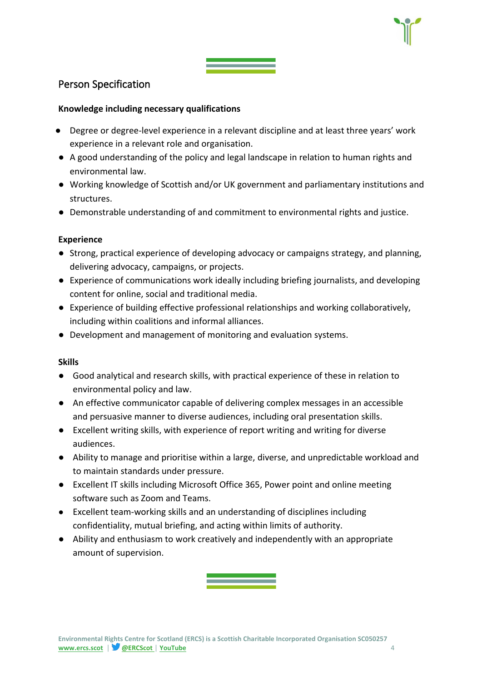

## Person Specification

#### **Knowledge including necessary qualifications**

- Degree or degree-level experience in a relevant discipline and at least three years' work experience in a relevant role and organisation.
- A good understanding of the policy and legal landscape in relation to human rights and environmental law.
- Working knowledge of Scottish and/or UK government and parliamentary institutions and structures.
- Demonstrable understanding of and commitment to environmental rights and justice.

#### **Experience**

- Strong, practical experience of developing advocacy or campaigns strategy, and planning, delivering advocacy, campaigns, or projects.
- Experience of communications work ideally including briefing journalists, and developing content for online, social and traditional media.
- Experience of building effective professional relationships and working collaboratively, including within coalitions and informal alliances.
- Development and management of monitoring and evaluation systems.

#### **Skills**

- Good analytical and research skills, with practical experience of these in relation to environmental policy and law.
- An effective communicator capable of delivering complex messages in an accessible and persuasive manner to diverse audiences, including oral presentation skills.
- Excellent writing skills, with experience of report writing and writing for diverse audiences.
- Ability to manage and prioritise within a large, diverse, and unpredictable workload and to maintain standards under pressure.
- Excellent IT skills including Microsoft Office 365, Power point and online meeting software such as Zoom and Teams.
- Excellent team-working skills and an understanding of disciplines including confidentiality, mutual briefing, and acting within limits of authority.
- Ability and enthusiasm to work creatively and independently with an appropriate amount of supervision.